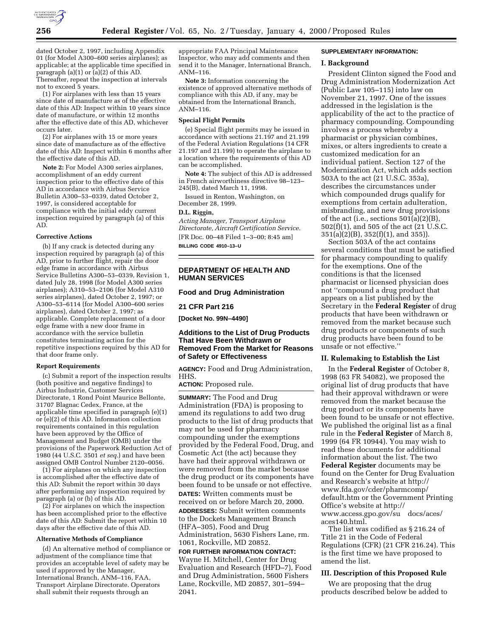

dated October 2, 1997, including Appendix 01 (for Model A300–600 series airplanes); as applicable; at the applicable time specified in paragraph (a)(1) or (a)(2) of this AD. Thereafter, repeat the inspection at intervals not to exceed 5 years.

(1) For airplanes with less than 15 years since date of manufacture as of the effective date of this AD: Inspect within 10 years since date of manufacture, or within 12 months after the effective date of this AD, whichever occurs later.

(2) For airplanes with 15 or more years since date of manufacture as of the effective date of this AD: Inspect within 6 months after the effective date of this AD.

**Note 2:** For Model A300 series airplanes, accomplishment of an eddy current inspection prior to the effective date of this AD in accordance with Airbus Service Bulletin A300–53–0339, dated October 2, 1997, is considered acceptable for compliance with the initial eddy current inspection required by paragraph (a) of this AD.

#### **Corrective Actions**

(b) If any crack is detected during any inspection required by paragraph (a) of this AD, prior to further flight, repair the door edge frame in accordance with Airbus Service Bulletins A300–53–0339, Revision 1, dated July 28, 1998 (for Model A300 series airplanes); A310–53–2106 (for Model A310 series airplanes), dated October 2, 1997; or A300–53–6114 (for Model A300–600 series airplanes), dated October 2, 1997; as applicable. Complete replacement of a door edge frame with a new door frame in accordance with the service bulletin constitutes terminating action for the repetitive inspections required by this AD for that door frame only.

#### **Report Requirements**

(c) Submit a report of the inspection results (both positive and negative findings) to Airbus Industrie, Customer Services Directorate, 1 Rond Point Maurice Bellonte, 31707 Blagnac Cedex, France, at the applicable time specified in paragraph (e)(1) or (e)(2) of this AD. Information collection requirements contained in this regulation have been approved by the Office of Management and Budget (OMB) under the provisions of the Paperwork Reduction Act of 1980 (44 U.S.C. 3501 *et seq.*) and have been assigned OMB Control Number 2120–0056.

(1) For airplanes on which any inspection is accomplished after the effective date of this AD: Submit the report within 30 days after performing any inspection required by paragraph (a) or (b) of this AD.

(2) For airplanes on which the inspection has been accomplished prior to the effective date of this AD: Submit the report within 10 days after the effective date of this AD.

### **Alternative Methods of Compliance**

(d) An alternative method of compliance or adjustment of the compliance time that provides an acceptable level of safety may be used if approved by the Manager, International Branch, ANM–116, FAA, Transport Airplane Directorate. Operators shall submit their requests through an

appropriate FAA Principal Maintenance Inspector, who may add comments and then send it to the Manager, International Branch, ANM–116.

**Note 3:** Information concerning the existence of approved alternative methods of compliance with this AD, if any, may be obtained from the International Branch, ANM–116.

#### **Special Flight Permits**

(e) Special flight permits may be issued in accordance with sections 21.197 and 21.199 of the Federal Aviation Regulations (14 CFR 21.197 and 21.199) to operate the airplane to a location where the requirements of this AD can be accomplished.

**Note 4:** The subject of this AD is addressed in French airworthiness directive 98–123– 245(B), dated March 11, 1998.

Issued in Renton, Washington, on December 28, 1999.

# **D.L. Riggin,**

*Acting Manager, Transport Airplane Directorate, Aircraft Certification Service.* [FR Doc. 00–48 Filed 1–3–00; 8:45 am] **BILLING CODE 4910–13–U**

# **DEPARTMENT OF HEALTH AND HUMAN SERVICES**

### **Food and Drug Administration**

#### **21 CFR Part 216**

**[Docket No. 99N–4490]**

## **Additions to the List of Drug Products That Have Been Withdrawn or Removed From the Market for Reasons of Safety or Effectiveness**

**AGENCY:** Food and Drug Administration, HHS.

**ACTION:** Proposed rule.

**SUMMARY:** The Food and Drug Administration (FDA) is proposing to amend its regulations to add two drug products to the list of drug products that may not be used for pharmacy compounding under the exemptions provided by the Federal Food, Drug, and Cosmetic Act (the act) because they have had their approval withdrawn or were removed from the market because the drug product or its components have been found to be unsafe or not effective. **DATES:** Written comments must be received on or before March 20, 2000.

**ADDRESSES:** Submit written comments to the Dockets Management Branch (HFA–305), Food and Drug Administration, 5630 Fishers Lane, rm. 1061, Rockville, MD 20852.

# **FOR FURTHER INFORMATION CONTACT:** Wayne H. Mitchell, Center for Drug Evaluation and Research (HFD–7), Food and Drug Administration, 5600 Fishers Lane, Rockville, MD 20857, 301–594– 2041.

#### **SUPPLEMENTARY INFORMATION:**

## **I. Background**

President Clinton signed the Food and Drug Administration Modernization Act (Public Law 105–115) into law on November 21, 1997. One of the issues addressed in the legislation is the applicability of the act to the practice of pharmacy compounding. Compounding involves a process whereby a pharmacist or physician combines, mixes, or alters ingredients to create a customized medication for an individual patient. Section 127 of the Modernization Act, which adds section 503A to the act (21 U.S.C. 353a), describes the circumstances under which compounded drugs qualify for exemptions from certain adulteration, misbranding, and new drug provisions of the act (i.e., sections 501(a)(2)(B), 502(f)(1), and 505 of the act (21 U.S.C. 351(a)(2)(B), 352(f)(1), and 355)).

Section 503A of the act contains several conditions that must be satisfied for pharmacy compounding to qualify for the exemptions. One of the conditions is that the licensed pharmacist or licensed physician does not ''compound a drug product that appears on a list published by the Secretary in the **Federal Register** of drug products that have been withdrawn or removed from the market because such drug products or components of such drug products have been found to be unsafe or not effective.''

## **II. Rulemaking to Establish the List**

In the **Federal Register** of October 8, 1998 (63 FR 54082), we proposed the original list of drug products that have had their approval withdrawn or were removed from the market because the drug product or its components have been found to be unsafe or not effective. We published the original list as a final rule in the **Federal Register** of March 8, 1999 (64 FR 10944). You may wish to read these documents for additional information about the list. The two **Federal Register** documents may be found on the Center for Drug Evaluation and Research's website at http:// www.fda.gov/cder/pharmcomp/ default.htm or the Government Printing Office's website at http:// www.access.gpo.gov/su docs/aces/ aces140.html.

The list was codified as § 216.24 of Title 21 in the Code of Federal Regulations (CFR) (21 CFR 216.24). This is the first time we have proposed to amend the list.

#### **III. Description of this Proposed Rule**

We are proposing that the drug products described below be added to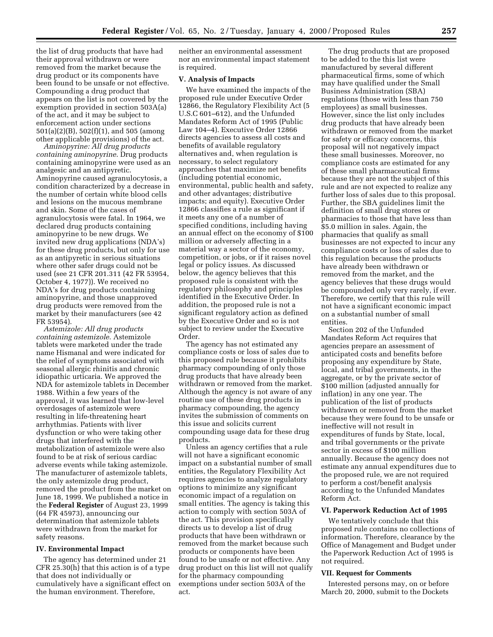the list of drug products that have had their approval withdrawn or were removed from the market because the drug product or its components have been found to be unsafe or not effective. Compounding a drug product that appears on the list is not covered by the exemption provided in section 503A(a) of the act, and it may be subject to enforcement action under sections 501(a)(2)(B), 502(f)(1), and 505 (among other applicable provisions) of the act.

*Aminopyrine: All drug products containing aminopyrine*. Drug products containing aminopyrine were used as an analgesic and an antipyretic. Aminopyrine caused agranulocytosis, a condition characterized by a decrease in the number of certain white blood cells and lesions on the mucous membrane and skin. Some of the cases of agranulocytosis were fatal. In 1964, we declared drug products containing aminopyrine to be new drugs. We invited new drug applications (NDA's) for these drug products, but only for use as an antipyretic in serious situations where other safer drugs could not be used (see 21 CFR 201.311 (42 FR 53954, October 4, 1977)). We received no NDA's for drug products containing aminopyrine, and those unapproved drug products were removed from the market by their manufacturers (see 42 FR 53954).

*Astemizole: All drug products containing astemizole*. Astemizole tablets were marketed under the trade name Hismanal and were indicated for the relief of symptoms associated with seasonal allergic rhinitis and chronic idiopathic urticaria. We approved the NDA for astemizole tablets in December 1988. Within a few years of the approval, it was learned that low-level overdosages of astemizole were resulting in life-threatening heart arrhythmias. Patients with liver dysfunction or who were taking other drugs that interfered with the metabolization of astemizole were also found to be at risk of serious cardiac adverse events while taking astemizole. The manufacturer of astemizole tablets, the only astemizole drug product, removed the product from the market on June 18, 1999. We published a notice in the **Federal Register** of August 23, 1999 (64 FR 45973), announcing our determination that astemizole tablets were withdrawn from the market for safety reasons.

### **IV. Environmental Impact**

The agency has determined under 21 CFR 25.30(h) that this action is of a type that does not individually or cumulatively have a significant effect on the human environment. Therefore,

neither an environmental assessment nor an environmental impact statement is required.

### **V. Analysis of Impacts**

We have examined the impacts of the proposed rule under Executive Order 12866, the Regulatory Flexibility Act (5 U.S.C 601–612), and the Unfunded Mandates Reform Act of 1995 (Public Law 104–4). Executive Order 12866 directs agencies to assess all costs and benefits of available regulatory alternatives and, when regulation is necessary, to select regulatory approaches that maximize net benefits (including potential economic, environmental, public health and safety, and other advantages; distributive impacts; and equity). Executive Order 12866 classifies a rule as significant if it meets any one of a number of specified conditions, including having an annual effect on the economy of \$100 million or adversely affecting in a material way a sector of the economy, competition, or jobs, or if it raises novel legal or policy issues. As discussed below, the agency believes that this proposed rule is consistent with the regulatory philosophy and principles identified in the Executive Order. In addition, the proposed rule is not a significant regulatory action as defined by the Executive Order and so is not subject to review under the Executive Order.

The agency has not estimated any compliance costs or loss of sales due to this proposed rule because it prohibits pharmacy compounding of only those drug products that have already been withdrawn or removed from the market. Although the agency is not aware of any routine use of these drug products in pharmacy compounding, the agency invites the submission of comments on this issue and solicits current compounding usage data for these drug products.

Unless an agency certifies that a rule will not have a significant economic impact on a substantial number of small entities, the Regulatory Flexibility Act requires agencies to analyze regulatory options to minimize any significant economic impact of a regulation on small entities. The agency is taking this action to comply with section 503A of the act. This provision specifically directs us to develop a list of drug products that have been withdrawn or removed from the market because such products or components have been found to be unsafe or not effective. Any drug product on this list will not qualify for the pharmacy compounding exemptions under section 503A of the act.

The drug products that are proposed to be added to the this list were manufactured by several different pharmaceutical firms, some of which may have qualified under the Small Business Administration (SBA) regulations (those with less than 750 employees) as small businesses. However, since the list only includes drug products that have already been withdrawn or removed from the market for safety or efficacy concerns, this proposal will not negatively impact these small businesses. Moreover, no compliance costs are estimated for any of these small pharmaceutical firms because they are not the subject of this rule and are not expected to realize any further loss of sales due to this proposal. Further, the SBA guidelines limit the definition of small drug stores or pharmacies to those that have less than \$5.0 million in sales. Again, the pharmacies that qualify as small businesses are not expected to incur any compliance costs or loss of sales due to this regulation because the products have already been withdrawn or removed from the market, and the agency believes that these drugs would be compounded only very rarely, if ever. Therefore, we certify that this rule will not have a significant economic impact on a substantial number of small entities.

Section 202 of the Unfunded Mandates Reform Act requires that agencies prepare an assessment of anticipated costs and benefits before proposing any expenditure by State, local, and tribal governments, in the aggregate, or by the private sector of \$100 million (adjusted annually for inflation) in any one year. The publication of the list of products withdrawn or removed from the market because they were found to be unsafe or ineffective will not result in expenditures of funds by State, local, and tribal governments or the private sector in excess of \$100 million annually. Because the agency does not estimate any annual expenditures due to the proposed rule, we are not required to perform a cost/benefit analysis according to the Unfunded Mandates Reform Act.

# **VI. Paperwork Reduction Act of 1995**

We tentatively conclude that this proposed rule contains no collections of information. Therefore, clearance by the Office of Management and Budget under the Paperwork Reduction Act of 1995 is not required.

#### **VII. Request for Comments**

Interested persons may, on or before March 20, 2000, submit to the Dockets